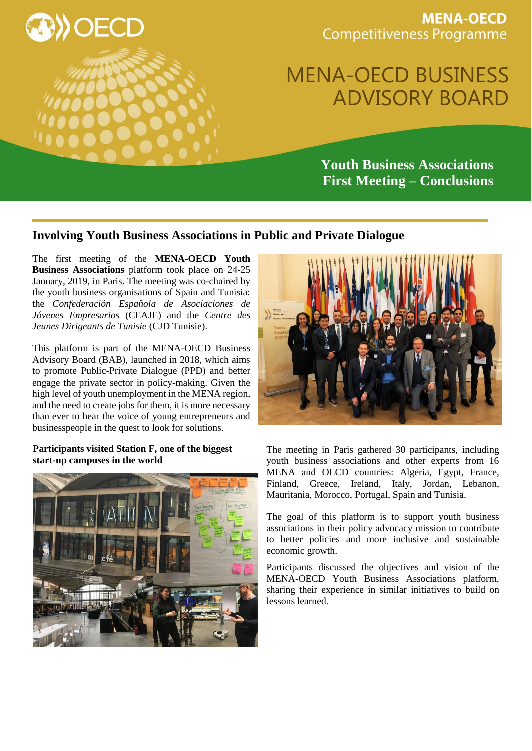

**MENA-OECD Competitiveness Programme** 

# MENA-OECD BUSINESS ADVISORY BOARD

**Youth Business Associations First Meeting – Conclusions**

## **Involving Youth Business Associations in Public and Private Dialogue**

The first meeting of the **MENA-OECD Youth Business Associations** platform took place on 24-25 January, 2019, in Paris. The meeting was co-chaired by the youth business organisations of Spain and Tunisia: the *Confederación Española de Asociaciones de Jóvenes Empresarios* (CEAJE) and the *Centre des Jeunes Dirigeants de Tunisie* (CJD Tunisie).

This platform is part of the MENA-OECD Business Advisory Board (BAB), launched in 2018, which aims to promote Public-Private Dialogue (PPD) and better engage the private sector in policy-making. Given the high level of youth unemployment in the MENA region, and the need to create jobs for them, it is more necessary than ever to hear the voice of young entrepreneurs and businesspeople in the quest to look for solutions.

#### **Participants visited Station F, one of the biggest start-up campuses in the world**





The meeting in Paris gathered 30 participants, including youth business associations and other experts from 16 MENA and OECD countries: Algeria, Egypt, France, Finland, Greece, Ireland, Italy, Jordan, Lebanon, Mauritania, Morocco, Portugal, Spain and Tunisia.

The goal of this platform is to support youth business associations in their policy advocacy mission to contribute to better policies and more inclusive and sustainable economic growth.

Participants discussed the objectives and vision of the MENA-OECD Youth Business Associations platform, sharing their experience in similar initiatives to build on lessons learned.